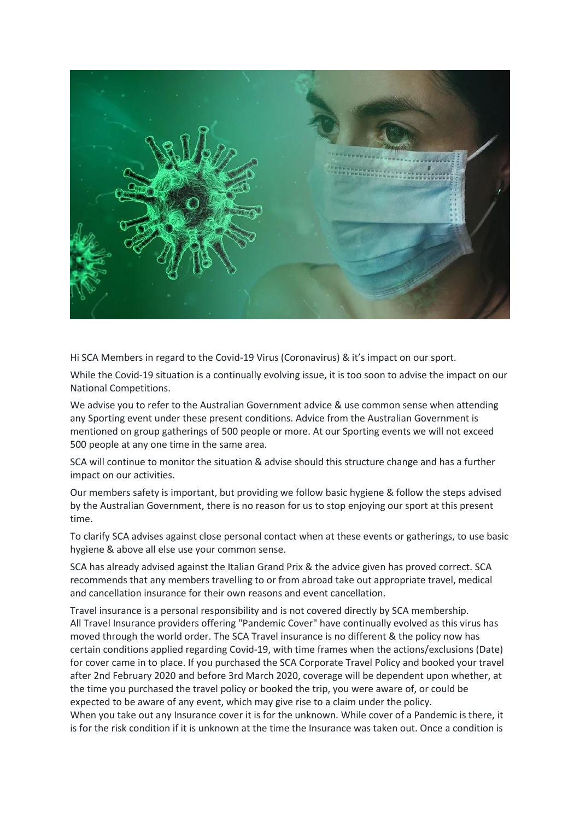

Hi SCA Members in regard to the Covid-19 Virus (Coronavirus) & it's impact on our sport.

While the Covid-19 situation is a continually evolving issue, it is too soon to advise the impact on our National Competitions.

We advise you to refer to the Australian Government advice & use common sense when attending any Sporting event under these present conditions. Advice from the Australian Government is mentioned on group gatherings of 500 people or more. At our Sporting events we will not exceed 500 people at any one time in the same area.

SCA will continue to monitor the situation & advise should this structure change and has a further impact on our activities.

Our members safety is important, but providing we follow basic hygiene & follow the steps advised by the Australian Government, there is no reason for us to stop enjoying our sport at this present time.

To clarify SCA advises against close personal contact when at these events or gatherings, to use basic hygiene & above all else use your common sense.

SCA has already advised against the Italian Grand Prix & the advice given has proved correct. SCA recommends that any members travelling to or from abroad take out appropriate travel, medical and cancellation insurance for their own reasons and event cancellation.

Travel insurance is a personal responsibility and is not covered directly by SCA membership. All Travel Insurance providers offering "Pandemic Cover" have continually evolved as this virus has moved through the world order. The SCA Travel insurance is no different & the policy now has certain conditions applied regarding Covid-19, with time frames when the actions/exclusions (Date) for cover came in to place. If you purchased the SCA Corporate Travel Policy and booked your travel after 2nd February 2020 and before 3rd March 2020, coverage will be dependent upon whether, at the time you purchased the travel policy or booked the trip, you were aware of, or could be expected to be aware of any event, which may give rise to a claim under the policy.

When you take out any Insurance cover it is for the unknown. While cover of a Pandemic is there, it is for the risk condition if it is unknown at the time the Insurance was taken out. Once a condition is